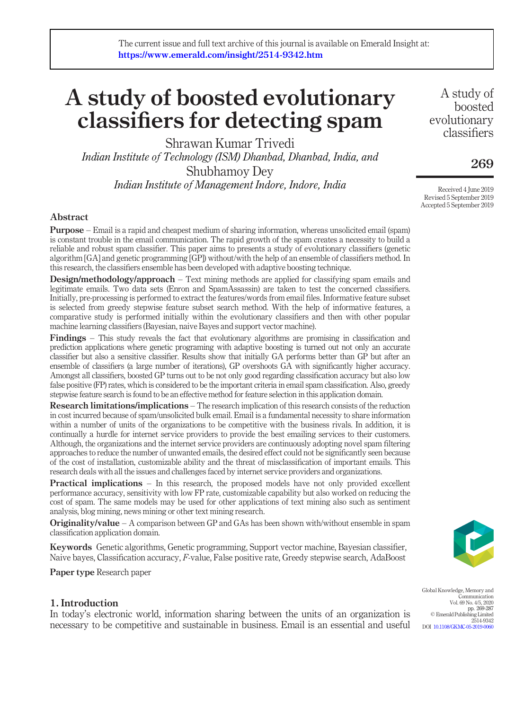# A study of boosted evolutionary classifiers for detecting spam

Shrawan Kumar Trivedi *Indian Institute of Technology (ISM) Dhanbad, Dhanbad, India, and* Shubhamoy Dey *Indian Institute of Management Indore, Indore, India*

A study of boosted evolutionary classifiers

# 269

Received 4 June 2019 Revised 5 September 2019 Accepted 5 September 2019

# Abstract

Purpose – Email is a rapid and cheapest medium of sharing information, whereas unsolicited email (spam) is constant trouble in the email communication. The rapid growth of the spam creates a necessity to build a reliable and robust spam classifier. This paper aims to presents a study of evolutionary classifiers (genetic algorithm [GA] and genetic programming [GP]) without/with the help of an ensemble of classifiers method. In this research, the classifiers ensemble has been developed with adaptive boosting technique.

Design/methodology/approach – Text mining methods are applied for classifying spam emails and legitimate emails. Two data sets (Enron and SpamAssassin) are taken to test the concerned classifiers. Initially, pre-processing is performed to extract the features/words from email files. Informative feature subset is selected from greedy stepwise feature subset search method. With the help of informative features, a comparative study is performed initially within the evolutionary classifiers and then with other popular machine learning classifiers (Bayesian, naive Bayes and support vector machine).

Findings – This study reveals the fact that evolutionary algorithms are promising in classification and prediction applications where genetic programing with adaptive boosting is turned out not only an accurate classifier but also a sensitive classifier. Results show that initially GA performs better than GP but after an ensemble of classifiers (a large number of iterations), GP overshoots GA with significantly higher accuracy. Amongst all classifiers, boosted GP turns out to be not only good regarding classification accuracy but also low false positive (FP) rates, which is considered to be the important criteria in email spam classification. Also, greedy stepwise feature search is found to be an effective method for feature selection in this application domain.

Research limitations/implications – The research implication of this research consists of the reduction in cost incurred because of spam/unsolicited bulk email. Email is a fundamental necessity to share information within a number of units of the organizations to be competitive with the business rivals. In addition, it is continually a hurdle for internet service providers to provide the best emailing services to their customers. Although, the organizations and the internet service providers are continuously adopting novel spam filtering approaches to reduce the number of unwanted emails, the desired effect could not be significantly seen because of the cost of installation, customizable ability and the threat of misclassification of important emails. This research deals with all the issues and challenges faced by internet service providers and organizations.

Practical implications – In this research, the proposed models have not only provided excellent performance accuracy, sensitivity with low FP rate, customizable capability but also worked on reducing the cost of spam. The same models may be used for other applications of text mining also such as sentiment analysis, blog mining, news mining or other text mining research.

**Originality/value** – A comparison between GP and GAs has been shown with/without ensemble in spam classification application domain.

Keywords Genetic algorithms, Genetic programming, Support vector machine, Bayesian classifier, Naive bayes, Classification accuracy, *F*-value, False positive rate, Greedy stepwise search, AdaBoost

Paper type Research paper

# 1. Introduction

In today's electronic world, information sharing between the units of an organization is necessary to be competitive and sustainable in business. Email is an essential and useful



Global Knowledge, Memory and Communication Vol. 69 No. 4/5, 2020 pp. 269-287 © Emerald Publishing Limited 2514-9342 DOI 10.1108/GKMC-05-2019-0060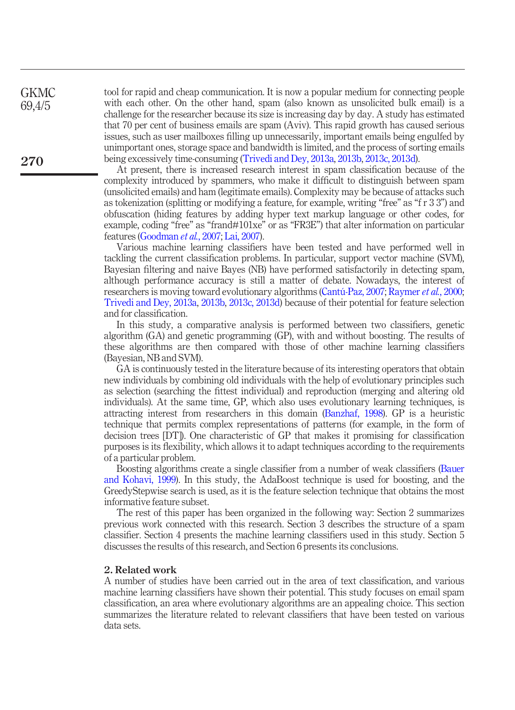tool for rapid and cheap communication. It is now a popular medium for connecting people with each other. On the other hand, spam (also known as unsolicited bulk email) is a challenge for the researcher because its size is increasing day by day. A study has estimated that 70 per cent of business emails are spam (Aviv). This rapid growth has caused serious issues, such as user mailboxes filling up unnecessarily, important emails being engulfed by unimportant ones, storage space and bandwidth is limited, and the process of sorting emails being excessively time-consuming (Trivedi and Dey, 2013a, 2013b, 2013c, 2013d).

At present, there is increased research interest in spam classification because of the complexity introduced by spammers, who make it difficult to distinguish between spam (unsolicited emails) and ham (legitimate emails). Complexity may be because of attacks such as tokenization (splitting or modifying a feature, for example, writing "free" as "fr33") and obfuscation (hiding features by adding hyper text markup language or other codes, for example, coding "free" as "frand#101xe" or as "FR3E") that alter information on particular features (Goodman *et al.*, 2007; Lai, 2007).

Various machine learning classifiers have been tested and have performed well in tackling the current classification problems. In particular, support vector machine (SVM), Bayesian filtering and naive Bayes (NB) have performed satisfactorily in detecting spam, although performance accuracy is still a matter of debate. Nowadays, the interest of researchers is moving toward evolutionary algorithms (Cantú-Paz, 2007; Raymer *et al.*, 2000; Trivedi and Dey, 2013a, 2013b, 2013c, 2013d) because of their potential for feature selection and for classification.

In this study, a comparative analysis is performed between two classifiers, genetic algorithm (GA) and genetic programming (GP), with and without boosting. The results of these algorithms are then compared with those of other machine learning classifiers (Bayesian, NB and SVM).

GA is continuously tested in the literature because of its interesting operators that obtain new individuals by combining old individuals with the help of evolutionary principles such as selection (searching the fittest individual) and reproduction (merging and altering old individuals). At the same time, GP, which also uses evolutionary learning techniques, is attracting interest from researchers in this domain (Banzhaf, 1998). GP is a heuristic technique that permits complex representations of patterns (for example, in the form of decision trees [DT]). One characteristic of GP that makes it promising for classification purposes is its flexibility, which allows it to adapt techniques according to the requirements of a particular problem.

Boosting algorithms create a single classifier from a number of weak classifiers (Bauer and Kohavi, 1999). In this study, the AdaBoost technique is used for boosting, and the GreedyStepwise search is used, as it is the feature selection technique that obtains the most informative feature subset.

The rest of this paper has been organized in the following way: Section 2 summarizes previous work connected with this research. Section 3 describes the structure of a spam classifier. Section 4 presents the machine learning classifiers used in this study. Section 5 discusses the results of this research, and Section 6 presents its conclusions.

#### 2. Related work

A number of studies have been carried out in the area of text classification, and various machine learning classifiers have shown their potential. This study focuses on email spam classification, an area where evolutionary algorithms are an appealing choice. This section summarizes the literature related to relevant classifiers that have been tested on various data sets.

270

**GKMC** 69,4/5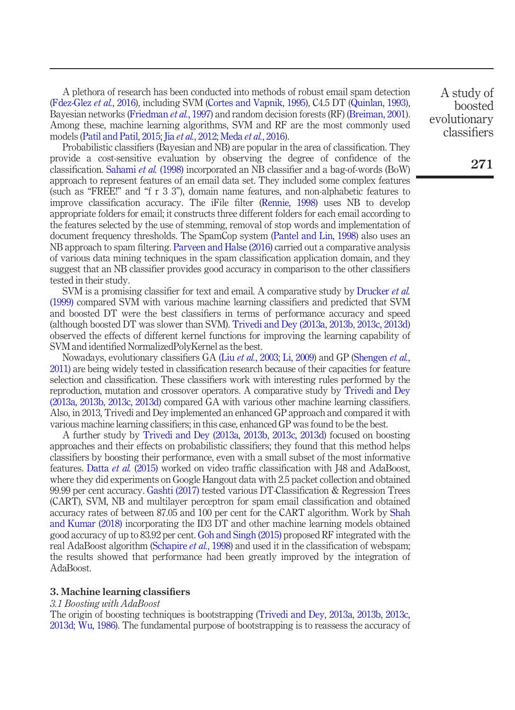A plethora of research has been conducted into methods of robust email spam detection (Fdez-Glez *et al.*, 2016), including SVM (Cortes and Vapnik, 1995), C4.5 DT (Quinlan, 1993), Bayesian networks (Friedman *et al.*, 1997) and random decision forests (RF) (Breiman, 2001). Among these, machine learning algorithms, SVM and RF are the most commonly used models (Patil and Patil, 2015; Jia *et al.*, 2012; Meda *et al.*, 2016).

Probabilistic classifiers (Bayesian and NB) are popular in the area of classification. They provide a cost-sensitive evaluation by observing the degree of confidence of the classification. Sahami *et al.* (1998) incorporated an NB classifier and a bag-of-words (BoW) approach to represent features of an email data set. They included some complex features (such as "FREE!" and "fr33"), domain name features, and non-alphabetic features to improve classification accuracy. The iFile filter (Rennie, 1998) uses NB to develop appropriate folders for email; it constructs three different folders for each email according to the features selected by the use of stemming, removal of stop words and implementation of document frequency thresholds. The SpamCop system (Pantel and Lin, 1998) also uses an NB approach to spam filtering. Parveen and Halse (2016) carried out a comparative analysis of various data mining techniques in the spam classification application domain, and they suggest that an NB classifier provides good accuracy in comparison to the other classifiers tested in their study.

SVM is a promising classifier for text and email. A comparative study by Drucker *et al.* (1999) compared SVM with various machine learning classifiers and predicted that SVM and boosted DT were the best classifiers in terms of performance accuracy and speed (although boosted DT was slower than SVM). Trivedi and Dey (2013a, 2013b, 2013c, 2013d) observed the effects of different kernel functions for improving the learning capability of SVM and identified NormalizedPolyKernel as the best.

Nowadays, evolutionary classifiers GA (Liu *et al.*, 2003; Li, 2009) and GP (Shengen *et al.*, 2011) are being widely tested in classification research because of their capacities for feature selection and classification. These classifiers work with interesting rules performed by the reproduction, mutation and crossover operators. A comparative study by Trivedi and Dey (2013a, 2013b, 2013c, 2013d) compared GA with various other machine learning classifiers. Also, in 2013, Trivedi and Dey implemented an enhanced GP approach and compared it with various machine learning classifiers; in this case, enhanced GP was found to be the best.

A further study by Trivedi and Dey (2013a, 2013b, 2013c, 2013d) focused on boosting approaches and their effects on probabilistic classifiers; they found that this method helps classifiers by boosting their performance, even with a small subset of the most informative features. Datta *et al.* (2015) worked on video traffic classification with J48 and AdaBoost, where they did experiments on Google Hangout data with 2.5 packet collection and obtained 99.99 per cent accuracy. Gashti (2017) tested various DT-Classification & Regression Trees (CART), SVM, NB and multilayer perceptron for spam email classification and obtained accuracy rates of between 87.05 and 100 per cent for the CART algorithm. Work by Shah and Kumar (2018) incorporating the ID3 DT and other machine learning models obtained good accuracy of up to 83.92 per cent. Goh and Singh (2015) proposed RF integrated with the real AdaBoost algorithm (Schapire *et al.*, 1998) and used it in the classification of webspam; the results showed that performance had been greatly improved by the integration of AdaBoost.

#### 3. Machine learning classifiers

#### *3.1 Boosting with AdaBoost*

The origin of boosting techniques is bootstrapping (Trivedi and Dey, 2013a, 2013b, 2013c, 2013d; Wu, 1986). The fundamental purpose of bootstrapping is to reassess the accuracy of

A study of boosted evolutionary classifiers

271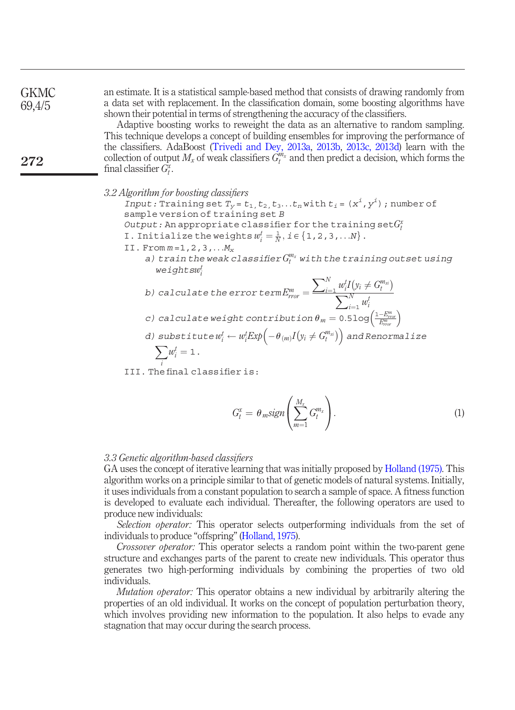**GKMC** 69,4/5

272

an estimate. It is a statistical sample-based method that consists of drawing randomly from a data set with replacement. In the classification domain, some boosting algorithms have shown their potential in terms of strengthening the accuracy of the classifiers.

Adaptive boosting works to reweight the data as an alternative to random sampling. This technique develops a concept of building ensembles for improving the performance of the classifiers. AdaBoost (Trivedi and Dey, 2013a, 2013b, 2013c, 2013d) learn with the collection of output  $M_x$  of weak classifiers  $G_t^{m_x}$  and then predict a decision, which forms the final classifier  $G_t^x$ .

*3.2 Algorithm for boosting classi*fi*ers*

*Input:* Training set  $T_y = t_1, t_2, t_3...t_n$  with  $t_i = (x^i, y^i)$ ; number of sample version of training set *B*

*Output:* An appropriate classifier for the training  $\text{set}G_t^x$ 

I. Initialize the weights  $w_i^t = \frac{1}{N}$ ,  $i \in \{1, 2, 3, ...N\}$ .

II. From *m* =1,2,3,...*M<sup>x</sup>*

*a) train the weak classi*fi*er G m<sup>x</sup> <sup>t</sup> with the training outset using weightsw t i*

b) calculate the error term 
$$
E_{\text{mor}}^m = \frac{\sum_{i=1}^N w_i^t I(v_i \neq G_t^{m_{xi}})}{\sum_{i=1}^N w_i^t}
$$

- *c)* calculate weight contribution  $\theta_m = 0.5 \log \left( \frac{1-E_{rms}^m}{E_{row}^m} \right)$
- *d) substitute* $w_i^t \leftarrow w_i^t E x p \Big( -\theta_{(m)} I \big( y_i \neq G_i^{m_{zi}} \big) \Big)$  *and Renormalize*  $\sum$ *w t*

$$
\sum w_i^l=1.
$$

*i* III. The final classifier is:

$$
G_t^x = \theta_m sign\left(\sum_{m=1}^{M_x} G_t^{m_x}\right). \tag{1}
$$

#### *3.3 Genetic algorithm-based classi*fi*ers*

GA uses the concept of iterative learning that was initially proposed by Holland (1975). This algorithm works on a principle similar to that of genetic models of natural systems. Initially, it uses individuals from a constant population to search a sample of space. A fitness function is developed to evaluate each individual. Thereafter, the following operators are used to produce new individuals:

*Selection operator:* This operator selects outperforming individuals from the set of individuals to produce "offspring" (Holland, 1975).

*Crossover operator:* This operator selects a random point within the two-parent gene structure and exchanges parts of the parent to create new individuals. This operator thus generates two high-performing individuals by combining the properties of two old individuals.

*Mutation operator:* This operator obtains a new individual by arbitrarily altering the properties of an old individual. It works on the concept of population perturbation theory, which involves providing new information to the population. It also helps to evade any stagnation that may occur during the search process.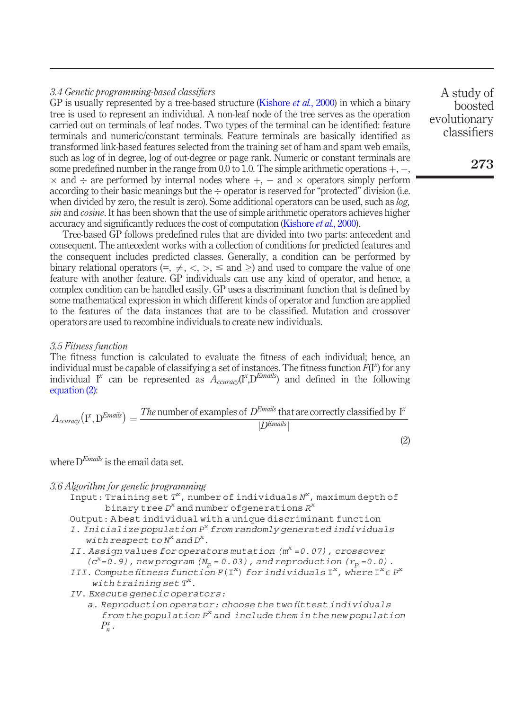## *3.4 Genetic programming-based classi*fi*ers*

GP is usually represented by a tree-based structure (Kishore *et al.*, 2000) in which a binary tree is used to represent an individual. A non-leaf node of the tree serves as the operation carried out on terminals of leaf nodes. Two types of the terminal can be identified: feature terminals and numeric/constant terminals. Feature terminals are basically identified as transformed link-based features selected from the training set of ham and spam web emails, such as log of in degree, log of out-degree or page rank. Numeric or constant terminals are some predefined number in the range from  $0.0$  to 1.0. The simple arithmetic operations  $+, \times$  and  $\div$  are performed by internal nodes where  $+$ ,  $-$  and  $\times$  operators simply perform according to their basic meanings but the  $\div$  operator is reserved for "protected" division (i.e. when divided by zero, the result is zero). Some additional operators can be used, such as *log, sin* and *cosine*. It has been shown that the use of simple arithmetic operators achieves higher accuracy and significantly reduces the cost of computation (Kishore *et al.*, 2000).

Tree-based GP follows predefined rules that are divided into two parts: antecedent and consequent. The antecedent works with a collection of conditions for predicted features and the consequent includes predicted classes. Generally, a condition can be performed by binary relational operators  $(=, \neq, <, >, \leq$  and  $\geq)$  and used to compare the value of one feature with another feature. GP individuals can use any kind of operator, and hence, a complex condition can be handled easily. GP uses a discriminant function that is defined by some mathematical expression in which different kinds of operator and function are applied to the features of the data instances that are to be classified. Mutation and crossover operators are used to recombine individuals to create new individuals.

#### *3.5 Fitness function*

The fitness function is calculated to evaluate the fitness of each individual; hence, an individual must be capable of classifying a set of instances. The fitness function *F*(I*<sup>x</sup>* ) for any individual I<sup>x</sup> can be represented as  $A_{\text{curacy}}(I^x, D^{\text{Emails}})$  and defined in the following equation (2):

$$
A_{\text{curacy}}(I^x, D^{\text{Emails}}) = \frac{\text{The number of examples of } D^{\text{Emails}} \text{ that are correctly classified by } I^x}{|D^{\text{Emails}}|}
$$

where D*Emails* is the email data set.

- *3.6 Algorithm for genetic programming*
	- Input: Training set  $T^x$ , number of individuals  $N^x$ , maximum depth of binary tree *D x* and number ofgenerations *R x*
	- Output: A best individual with a unique discriminant function
	- *I. Initialize population P<sup>x</sup> from randomly generated individuals with respect to N<sup>x</sup> and D<sup>x</sup> .*
	- *II. Assign values for operators mutation (m<sup>x</sup> =0.07), crossover*  $(c^x=0.9)$ , new program  $(N_p = 0.03)$ , and reproduction  $(r_p = 0.0)$ .
	- *III.* Compute fitness function  $F(I^x)$  for individuals  $I^x$ , where  $I^x \in P^x$ *with training set T<sup>x</sup> .*
	- *IV. Execute genetic operators:*
		- *a. Reproduction operator: choose the two* fi*ttest individuals from the population P<sup>x</sup> and include them in the new population P x n.*

A study of boosted evolutionary classifiers

(2)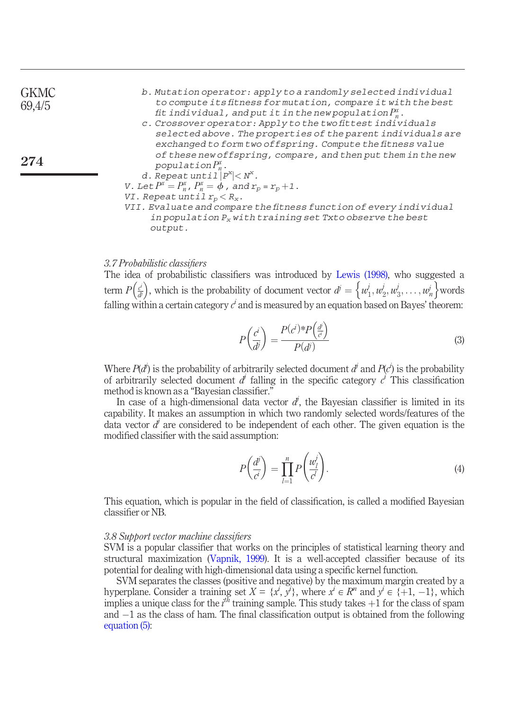274

- *b. Mutation operator: apply to a randomly selected individual to compute its* fi*tness for mutation, compare it with the best* fi*t individual, and put it in the new population P x n.*
- *c. Crossover operator: Apply to the two* fi*ttest individuals selected above. The properties of the parent individuals are exchanged to form two offspring. Compute the* fi*tness value of these new offspring, compare, and then put them in the new population P x n*.
- *d.* Repeat  $until{1}$ <sup> $p^x$ </sup> $\lt N^x$ . *V.* Let  $P^x = P^x_n$ ,  $P^x_n = \phi$ , and  $r_p = r_p + 1$ .
- *VI*. *Repeat until*  $r_p < R_x$ *.*
- *VII. Evaluate and compare the* fi*tness function of every individual in population P<sup>x</sup> with training set Txto observe the best output.*

#### *3.7 Probabilistic classi*fi*ers*

The idea of probabilistic classifiers was introduced by Lewis (1998), who suggested a term  $P\left(\frac{c^i}{d^j}\right)$ , which is the probability of document vector  $d^j = \left\{w_1^j, w_2^j, w_3^j, \ldots, w_n^j\right\}$  words falling within a certain category  $c^i$  and is measured by an equation based on Bayes' theorem:

$$
P\left(\frac{c^i}{d^j}\right) = \frac{P(c^i)^* P\left(\frac{d^i}{c^i}\right)}{P(d^j)}
$$
(3)

Where  $P(d)$  is the probability of arbitrarily selected document  $d^{j}$  and  $P(c^{i})$  is the probability of arbitrarily selected document  $d^j$  falling in the specific category  $c^i$  This classification method is known as a "Bayesian classifier."

In case of a high-dimensional data vector  $d$ , the Bayesian classifier is limited in its capability. It makes an assumption in which two randomly selected words/features of the data vector  $d<sup>j</sup>$  are considered to be independent of each other. The given equation is the modified classifier with the said assumption:

$$
P\left(\frac{d^j}{c^i}\right) = \prod_{l=1}^n P\left(\frac{w_l^j}{c^l}\right). \tag{4}
$$

This equation, which is popular in the field of classification, is called a modified Bayesian classifier or NB.

#### *3.8 Support vector machine classi*fi*ers*

SVM is a popular classifier that works on the principles of statistical learning theory and structural maximization (Vapnik, 1999). It is a well-accepted classifier because of its potential for dealing with high-dimensional data using a specific kernel function.

SVM separates the classes (positive and negative) by the maximum margin created by a hyperplane. Consider a training set  $X = \{x^i, y^i\}$ , where  $x^i \in \mathbb{R}^n$  and  $y^i \in \{+1, -1\}$ , which implies a unique class for the  $i^{th}$  training sample. This study takes  $+1$  for the class of spam and  $-1$  as the class of ham. The final classification output is obtained from the following equation (5):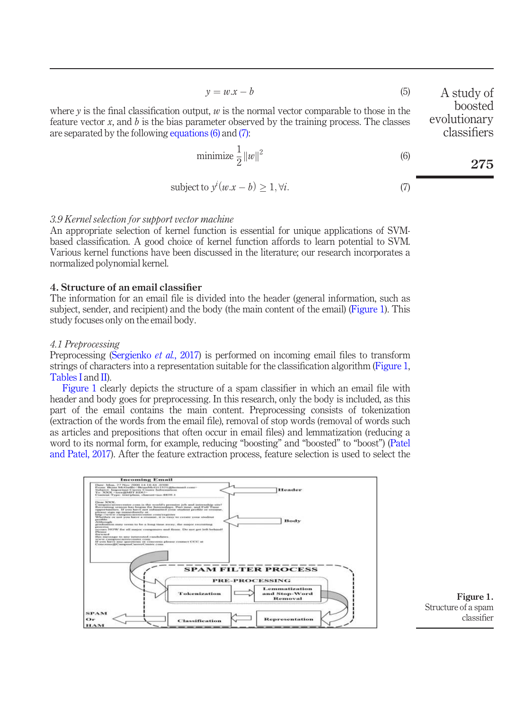$$
y = w \cdot x - b \tag{5} \qquad A \text{ st}
$$

where  $\nu$  is the final classification output,  $\nu$  is the normal vector comparable to those in the feature vector  $x$ , and  $b$  is the bias parameter observed by the training process. The classes are separated by the following equations (6) and (7):

$$
\text{minimize } \frac{1}{2} \left\| w \right\|^2
$$

subject to 
$$
y^{i}(w.x - b) \ge 1, \forall i.
$$
 (7)

#### *3.9 Kernel selection for support vector machine*

An appropriate selection of kernel function is essential for unique applications of SVMbased classification. A good choice of kernel function affords to learn potential to SVM. Various kernel functions have been discussed in the literature; our research incorporates a normalized polynomial kernel.

#### 4. Structure of an email classifier

The information for an email file is divided into the header (general information, such as subject, sender, and recipient) and the body (the main content of the email) (Figure 1). This study focuses only on the email body.

#### *4.1 Preprocessing*

Preprocessing (Sergienko *et al.*, 2017) is performed on incoming email files to transform strings of characters into a representation suitable for the classification algorithm (Figure 1, Tables I and II).

Figure 1 clearly depicts the structure of a spam classifier in which an email file with header and body goes for preprocessing. In this research, only the body is included, as this part of the email contains the main content. Preprocessing consists of tokenization (extraction of the words from the email file), removal of stop words (removal of words such as articles and prepositions that often occur in email files) and lemmatization (reducing a word to its normal form, for example, reducing "boosting" and "boosted" to "boost") (Patel and Patel, 2017). After the feature extraction process, feature selection is used to select the





udy of boosted evolutionary classifiers

(6)

275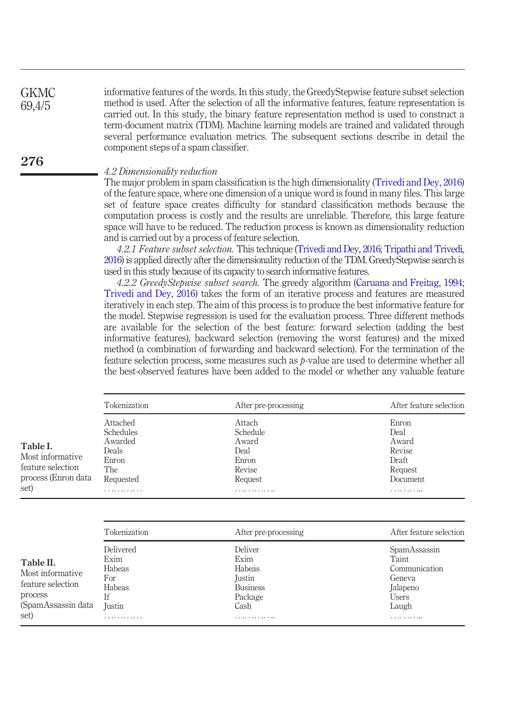informative features of the words. In this study, the GreedyStepwise feature subset selection method is used. After the selection of all the informative features, feature representation is carried out. In this study, the binary feature representation method is used to construct a term-document matrix (TDM). Machine learning models are trained and validated through several performance evaluation metrics. The subsequent sections describe in detail the component steps of a spam classifier. **GKMC** 69,4/5

#### *4.2 Dimensionality reduction*

276

The major problem in spam classification is the high dimensionality (Trivedi and Dey, 2016) of the feature space, where one dimension of a unique word is found in many files. This large set of feature space creates difficulty for standard classification methods because the computation process is costly and the results are unreliable. Therefore, this large feature space will have to be reduced. The reduction process is known as dimensionality reduction and is carried out by a process of feature selection.

*4.2.1 Feature subset selection.* This technique (Trivedi and Dey, 2016; Tripathi and Trivedi, 2016) is applied directly after the dimensionality reduction of the TDM. GreedyStepwise search is used in this study because of its capacity to search informative features.

*4.2.2 GreedyStepwise subset search.* The greedy algorithm (Caruana and Freitag, 1994; Trivedi and Dey, 2016) takes the form of an iterative process and features are measured iteratively in each step. The aim of this process is to produce the best informative feature for the model. Stepwise regression is used for the evaluation process. Three different methods are available for the selection of the best feature: forward selection (adding the best informative features), backward selection (removing the worst features) and the mixed method (a combination of forwarding and backward selection). For the termination of the feature selection process, some measures such as *p*-value are used to determine whether all the best-observed features have been added to the model or whether any valuable feature

|                                                                                             | Tokenization                                                                         | After pre-processing                                                                  | After feature selection                                                                   |
|---------------------------------------------------------------------------------------------|--------------------------------------------------------------------------------------|---------------------------------------------------------------------------------------|-------------------------------------------------------------------------------------------|
| Table I.<br>Most informative<br>feature selection<br>process (Enron data<br>set)            | Attached<br>Schedules<br>Awarded<br>Deals<br>Enron<br>The<br>Requested<br>. <b>.</b> | Attach<br>Schedule<br>Award<br>Deal<br>Enron<br>Revise<br>Request<br><b>.</b>         | Enron<br>Deal<br>Award<br>Revise<br>Draft<br>Request<br>Document<br><b></b>               |
|                                                                                             | Tokenization                                                                         | After pre-processing                                                                  | After feature selection                                                                   |
| Table II.<br>Most informative<br>feature selection<br>process<br>(SpamAssassin data<br>set) | Delivered<br>Exim<br>Habeas<br>For<br>Habeas<br>Ιf<br><b>Justin</b><br>              | Deliver<br>Exim<br>Habeas<br>Justin<br><b>Business</b><br>Package<br>Cash<br><b>.</b> | SpamAssassin<br>Taint<br>Communication<br>Geneva<br>Jalapeno<br>Users<br>Laugh<br><b></b> |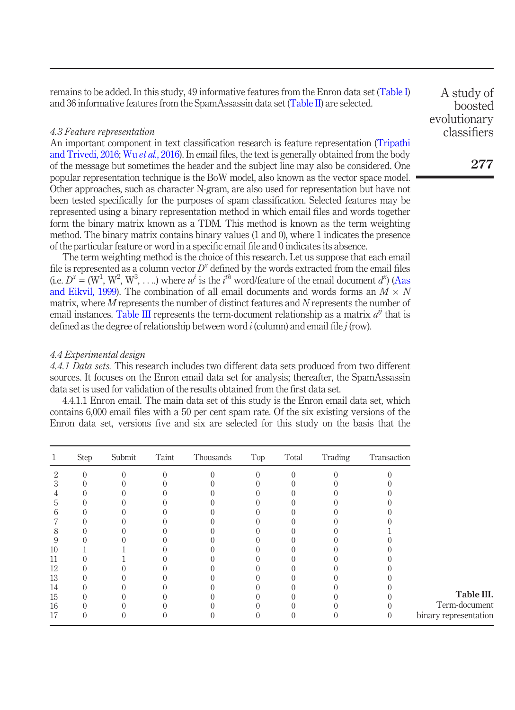remains to be added. In this study, 49 informative features from the Enron data set (Table I) and 36 informative features from the SpamAssassin data set (Table II) are selected.

#### *4.3 Feature representation*

An important component in text classification research is feature representation (Tripathi and Trivedi, 2016; Wu *et al.*, 2016). In email files, the text is generally obtained from the body of the message but sometimes the header and the subject line may also be considered. One popular representation technique is the BoW model, also known as the vector space model. Other approaches, such as character N-gram, are also used for representation but have not been tested specifically for the purposes of spam classification. Selected features may be represented using a binary representation method in which email files and words together form the binary matrix known as a TDM. This method is known as the term weighting method. The binary matrix contains binary values (1 and 0), where 1 indicates the presence of the particular feature or word in a specific email file and 0 indicates its absence.

The term weighting method is the choice of this research. Let us suppose that each email file is represented as a column vector  $D^x$  defined by the words extracted from the email files (i.e.  $D^x = (W^1, W^2, W^3, \ldots)$ ) where  $w^i$  is the *i*<sup>th</sup> word/feature of the email document  $d^x$ ) (Aas and Eikvil, 1999). The combination of all email documents and words forms an  $M \times N$ matrix, where *M* represents the number of distinct features and *N* represents the number of email instances. Table III represents the term-document relationship as a matrix  $a^{ij}$  that is defined as the degree of relationship between word *i* (column) and email file *j* (row).

#### *4.4 Experimental design*

*4.4.1 Data sets.* This research includes two different data sets produced from two different sources. It focuses on the Enron email data set for analysis; thereafter, the SpamAssassin data set is used for validation of the results obtained from the first data set.

4.4.1.1 Enron email. The main data set of this study is the Enron email data set, which contains 6,000 email files with a 50 per cent spam rate. Of the six existing versions of the Enron data set, versions five and six are selected for this study on the basis that the

|    | <b>Step</b> | Submit | Taint | Thousands | Top | Total | Trading | Transaction |                       |
|----|-------------|--------|-------|-----------|-----|-------|---------|-------------|-----------------------|
| 2  |             |        |       |           |     |       |         |             |                       |
|    |             |        |       |           |     |       |         |             |                       |
|    |             |        |       |           |     |       |         |             |                       |
| b. |             |        |       |           |     |       |         |             |                       |
| h  |             |        |       |           |     |       |         |             |                       |
|    |             |        |       |           |     |       |         |             |                       |
| 8  |             |        |       |           |     |       |         |             |                       |
| 9  |             |        |       |           |     |       |         |             |                       |
| 10 |             |        |       |           |     |       |         |             |                       |
| 11 |             |        |       |           |     |       |         |             |                       |
| 12 |             |        |       |           |     |       |         |             |                       |
| 13 |             |        |       |           |     |       |         |             |                       |
| 14 |             |        |       |           |     |       |         |             |                       |
| 15 |             |        |       |           |     |       |         |             | Table III.            |
| 16 |             |        |       |           |     |       |         |             | Term-document         |
| 17 |             |        |       |           |     |       |         |             | binary representation |

A study of boosted evolutionary classifiers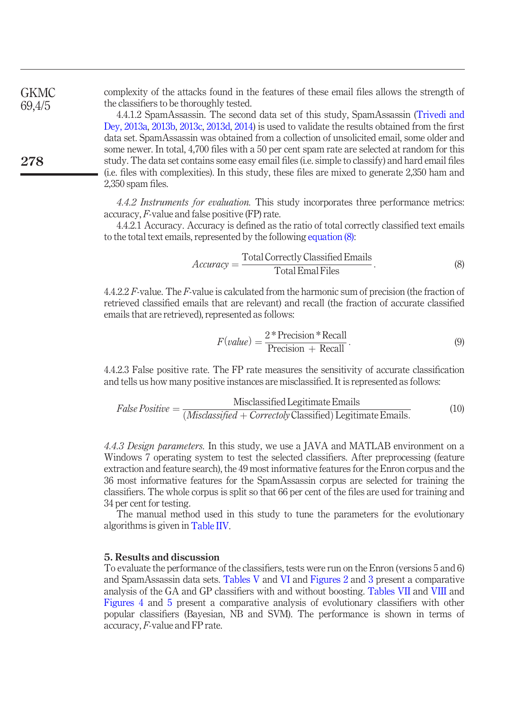complexity of the attacks found in the features of these email files allows the strength of the classifiers to be thoroughly tested. **GKMC** 69,4/5

4.4.1.2 SpamAssassin. The second data set of this study, SpamAssassin (Trivedi and Dey, 2013a, 2013b, 2013c, 2013d, 2014) is used to validate the results obtained from the first data set. SpamAssassin was obtained from a collection of unsolicited email, some older and some newer. In total, 4,700 files with a 50 per cent spam rate are selected at random for this study. The data set contains some easy email files (i.e. simple to classify) and hard email files (i.e. files with complexities). In this study, these files are mixed to generate 2,350 ham and 2,350 spam files.

*4.4.2 Instruments for evaluation.* This study incorporates three performance metrics: accuracy, *F*-value and false positive (FP) rate.

4.4.2.1 Accuracy. Accuracy is defined as the ratio of total correctly classified text emails to the total text emails, represented by the following equation (8):

$$
Accuracy = \frac{\text{Total Correctly Classical Emails}}{\text{Total Email Files}}.\tag{8}
$$

4.4.2.2 *F*-value. The *F*-value is calculated from the harmonic sum of precision (the fraction of retrieved classified emails that are relevant) and recall (the fraction of accurate classified emails that are retrieved), represented as follows:

$$
F(value) = \frac{2 * Precision * Recall}{Precision + Recall}.
$$
\n(9)

4.4.2.3 False positive rate. The FP rate measures the sensitivity of accurate classification and tells us how many positive instances are misclassified. It is represented as follows:

$$
False Positive = \frac{Misclassified Legitimate Emails}{(Misclassified + Correctoly Classicalized) Legitimate Emails.}
$$
(10)

*4.4.3 Design parameters.* In this study, we use a JAVA and MATLAB environment on a Windows 7 operating system to test the selected classifiers. After preprocessing (feature extraction and feature search), the 49 most informative features for the Enron corpus and the 36 most informative features for the SpamAssassin corpus are selected for training the classifiers. The whole corpus is split so that 66 per cent of the files are used for training and 34 per cent for testing.

The manual method used in this study to tune the parameters for the evolutionary algorithms is given in Table IIV.

# 5. Results and discussion

To evaluate the performance of the classifiers, tests were run on the Enron (versions 5 and 6) and SpamAssassin data sets. Tables V and VI and Figures 2 and 3 present a comparative analysis of the GA and GP classifiers with and without boosting. Tables VII and VIII and Figures 4 and 5 present a comparative analysis of evolutionary classifiers with other popular classifiers (Bayesian, NB and SVM). The performance is shown in terms of accuracy, *F*-value and FP rate.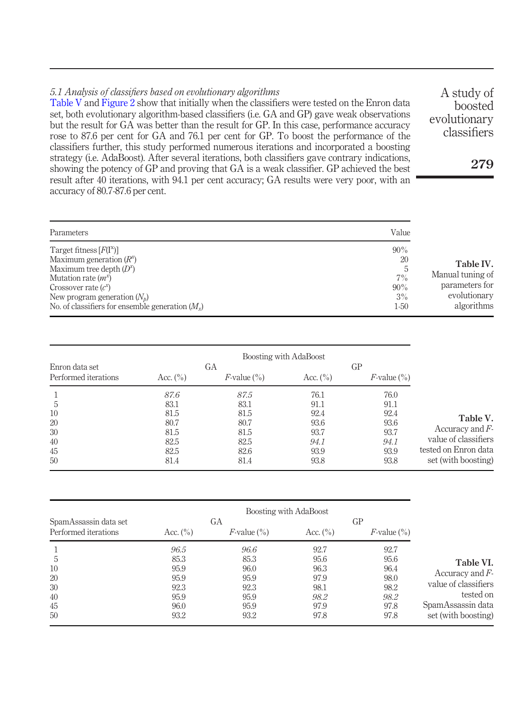# *5.1 Analysis of classi*fi*ers based on evolutionary algorithms*

Table V and Figure 2 show that initially when the classifiers were tested on the Enron data set, both evolutionary algorithm-based classifiers (i.e. GA and GP) gave weak observations but the result for GA was better than the result for GP. In this case, performance accuracy rose to 87.6 per cent for GA and 76.1 per cent for GP. To boost the performance of the classifiers further, this study performed numerous iterations and incorporated a boosting strategy (i.e. AdaBoost). After several iterations, both classifiers gave contrary indications, showing the potency of GP and proving that GA is a weak classifier. GP achieved the best result after 40 iterations, with 94.1 per cent accuracy; GA results were very poor, with an accuracy of 80.7-87.6 per cent.

| Parameters                                                                                                                                                                                                                       | Value                                        |                                                                               |
|----------------------------------------------------------------------------------------------------------------------------------------------------------------------------------------------------------------------------------|----------------------------------------------|-------------------------------------------------------------------------------|
| Target fitness $[F(I^*)]$<br>Maximum generation $(R^x)$<br>Maximum tree depth $(D^x)$<br>Mutation rate $(m^x)$<br>Crossover rate $(c^x)$<br>New program generation $(N_b)$<br>No. of classifiers for ensemble generation $(M_x)$ | 90%<br>20<br>.5<br>7%<br>90%<br>3%<br>$1-50$ | Table IV.<br>Manual tuning of<br>parameters for<br>evolutionary<br>algorithms |

|                      |              |                   | Boosting with AdaBoost |                   |                      |
|----------------------|--------------|-------------------|------------------------|-------------------|----------------------|
| Enron data set       |              | GA                |                        | GP                |                      |
| Performed iterations | Acc. $(\% )$ | $F$ -value $(\%)$ | Acc. $(\% )$           | $F$ -value $(\%)$ |                      |
|                      | 87.6         | 87.5              | 76.1                   | 76.0              |                      |
| 5                    | 83.1         | 83.1              | 91.1                   | 91.1              |                      |
| 10                   | 81.5         | 81.5              | 92.4                   | 92.4              |                      |
| 20                   | 80.7         | 80.7              | 93.6                   | 93.6              | Table V.             |
| 30                   | 81.5         | 81.5              | 93.7                   | 93.7              | Accuracy and $F$ -   |
| 40                   | 82.5         | 82.5              | 94.1                   | 94.1              | value of classifiers |
| 45                   | 82.5         | 82.6              | 93.9                   | 93.9              | tested on Enron data |
| 50                   | 81.4         | 81.4              | 93.8                   | 93.8              | set (with boosting)  |

|                       |              |                   | Boosting with AdaBoost |                   |                      |
|-----------------------|--------------|-------------------|------------------------|-------------------|----------------------|
| SpamAssassin data set |              | GА                |                        | GP                |                      |
| Performed iterations  | Acc. $(\% )$ | $F$ -value $(\%)$ | Acc. $(\% )$           | $F$ -value $(\%)$ |                      |
|                       | 96.5         | 96.6              | 92.7                   | 92.7              |                      |
| 5                     | 85.3         | 85.3              | 95.6                   | 95.6              | Table VI.            |
| 10                    | 95.9         | 96.0              | 96.3                   | 96.4              |                      |
| 20                    | 95.9         | 95.9              | 97.9                   | 98.0              | Accuracy and $F$ -   |
| 30                    | 92.3         | 92.3              | 98.1                   | 98.2              | value of classifiers |
| 40                    | 95.9         | 95.9              | 98.2                   | 98.2              | tested on            |
| 45                    | 96.0         | 95.9              | 97.9                   | 97.8              | SpamAssassin data    |
| 50                    | 93.2         | 93.2              | 97.8                   | 97.8              | set (with boosting)  |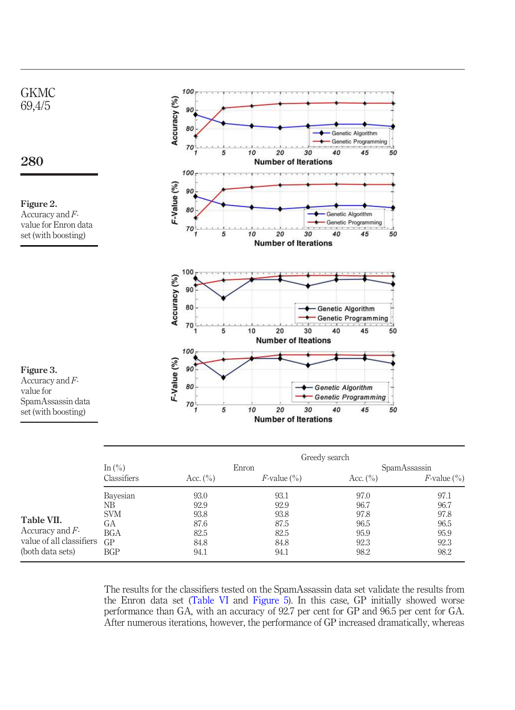

|                          |                               | Greedy search |                   |              |                   |  |
|--------------------------|-------------------------------|---------------|-------------------|--------------|-------------------|--|
|                          | In $\left(\frac{0}{0}\right)$ |               | Enron             | SpamAssassin |                   |  |
|                          | Classifiers                   | Acc. $(\% )$  | $F$ -value $(\%)$ | Acc. $(\% )$ | $F$ -value $(\%)$ |  |
|                          | Bayesian                      | 93.0          | 93.1              | 97.0         | 97.1              |  |
|                          | NΒ                            | 92.9          | 92.9              | 96.7         | 96.7              |  |
|                          | <b>SVM</b>                    | 93.8          | 93.8              | 97.8         | 97.8              |  |
| Table VII.               | GА                            | 87.6          | 87.5              | 96.5         | 96.5              |  |
| Accuracy and $F$ -       | <b>BGA</b>                    | 82.5          | 82.5              | 95.9         | 95.9              |  |
| value of all classifiers | GP                            | 84.8          | 84.8              | 92.3         | 92.3              |  |
| (both data sets)         | BGP                           | 94.1          | 94.1              | 98.2         | 98.2              |  |

The results for the classifiers tested on the SpamAssassin data set validate the results from the Enron data set (Table VI and Figure 5). In this case, GP initially showed worse performance than GA, with an accuracy of 92.7 per cent for GP and 96.5 per cent for GA. After numerous iterations, however, the performance of GP increased dramatically, whereas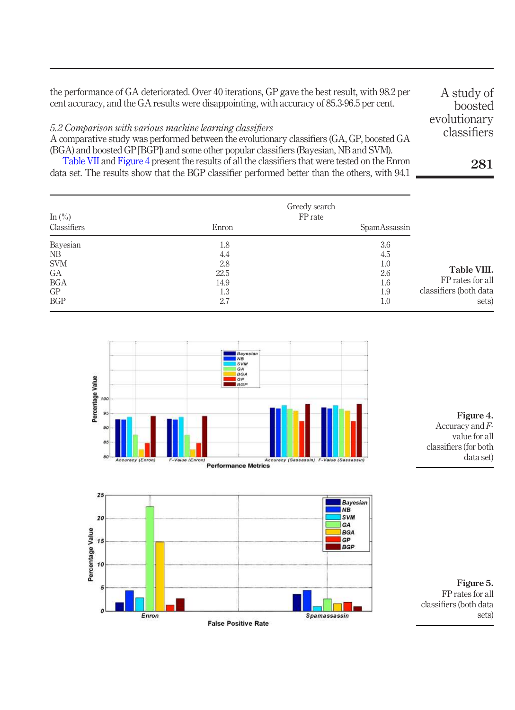the performance of GA deteriorated. Over 40 iterations, GP gave the best result, with 98.2 per cent accuracy, and the GA results were disappointing, with accuracy of 85.3-96.5 per cent.

# *5.2 Comparison with various machine learning classi*fi*ers*

Enron

A comparative study was performed between the evolutionary classifiers (GA, GP, boosted GA (BGA) and boosted GP [BGP]) and some other popular classifiers (Bayesian, NB and SVM).

Table VII and Figure 4 present the results of all the classifiers that were tested on the Enron data set. The results show that the BGP classifier performed better than the others, with 94.1

| In $(\% )$  |       | Greedy search<br>FP rate |                        |
|-------------|-------|--------------------------|------------------------|
| Classifiers | Enron | SpamAssassin             |                        |
| Bayesian    | 1.8   | 3.6                      |                        |
| NB          | 4.4   | 4.5                      |                        |
| <b>SVM</b>  | 2.8   | 1.0                      |                        |
| GA          | 22.5  | 2.6                      | Table VIII.            |
| <b>BGA</b>  | 14.9  | 1.6                      | FP rates for all       |
| GP          | 1.3   | 1.9                      | classifiers (both data |
| <b>BGP</b>  | 2.7   | 1.0                      | sets)                  |



**False Positive Rate** 

**Spamassassin** 

Figure 4. Accuracy and *F*value for all classifiers (for both data set)

Figure 5. FP rates for all classifiers (both data sets)

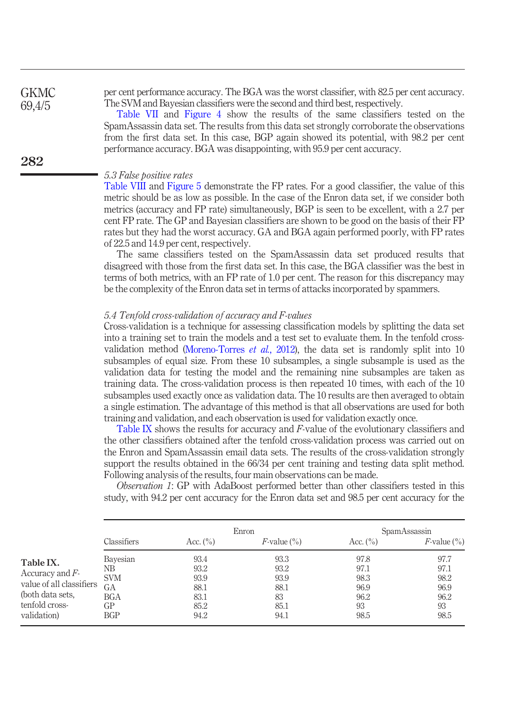per cent performance accuracy. The BGA was the worst classifier, with 82.5 per cent accuracy. The SVM and Bayesian classifiers were the second and third best, respectively.

> Table VII and Figure 4 show the results of the same classifiers tested on the SpamAssassin data set. The results from this data set strongly corroborate the observations from the first data set. In this case, BGP again showed its potential, with 98.2 per cent performance accuracy. BGA was disappointing, with 95.9 per cent accuracy.

#### *5.3 False positive rates*

Table VIII and Figure 5 demonstrate the FP rates. For a good classifier, the value of this metric should be as low as possible. In the case of the Enron data set, if we consider both metrics (accuracy and FP rate) simultaneously, BGP is seen to be excellent, with a 2.7 per cent FP rate. The GP and Bayesian classifiers are shown to be good on the basis of their FP rates but they had the worst accuracy. GA and BGA again performed poorly, with FP rates of 22.5 and 14.9 per cent, respectively.

The same classifiers tested on the SpamAssassin data set produced results that disagreed with those from the first data set. In this case, the BGA classifier was the best in terms of both metrics, with an FP rate of 1.0 per cent. The reason for this discrepancy may be the complexity of the Enron data set in terms of attacks incorporated by spammers.

#### *5.4 Tenfold cross-validation of accuracy and F-values*

Cross-validation is a technique for assessing classification models by splitting the data set into a training set to train the models and a test set to evaluate them. In the tenfold crossvalidation method (Moreno-Torres *et al.*, 2012), the data set is randomly split into 10 subsamples of equal size. From these 10 subsamples, a single subsample is used as the validation data for testing the model and the remaining nine subsamples are taken as training data. The cross-validation process is then repeated 10 times, with each of the 10 subsamples used exactly once as validation data. The 10 results are then averaged to obtain a single estimation. The advantage of this method is that all observations are used for both training and validation, and each observation is used for validation exactly once.

Table IX shows the results for accuracy and *F*-value of the evolutionary classifiers and the other classifiers obtained after the tenfold cross-validation process was carried out on the Enron and SpamAssassin email data sets. The results of the cross-validation strongly support the results obtained in the 66/34 per cent training and testing data split method. Following analysis of the results, four main observations can be made.

*Observation 1*: GP with AdaBoost performed better than other classifiers tested in this study, with 94.2 per cent accuracy for the Enron data set and 98.5 per cent accuracy for the

|                                                                                                                  |                                                               |                                                      | Enron                                              |                                                    | SpamAssassin                                       |
|------------------------------------------------------------------------------------------------------------------|---------------------------------------------------------------|------------------------------------------------------|----------------------------------------------------|----------------------------------------------------|----------------------------------------------------|
|                                                                                                                  | Classifiers                                                   | Acc. $(\% )$                                         | $F$ -value $(\%)$                                  | Acc. $(\% )$                                       | $F$ -value $(\%)$                                  |
| Table IX.<br>Accuracy and $F$ -<br>value of all classifiers<br>(both data sets,<br>tenfold cross-<br>validation) | Bayesian<br>NΒ<br><b>SVM</b><br>GА<br>BGA<br>GP<br><b>BGP</b> | 93.4<br>93.2<br>93.9<br>88.1<br>83.1<br>85.2<br>94.2 | 93.3<br>93.2<br>93.9<br>88.1<br>83<br>85.1<br>94.1 | 97.8<br>97.1<br>98.3<br>96.9<br>96.2<br>93<br>98.5 | 97.7<br>97.1<br>98.2<br>96.9<br>96.2<br>93<br>98.5 |

282

**GKMC** 69,4/5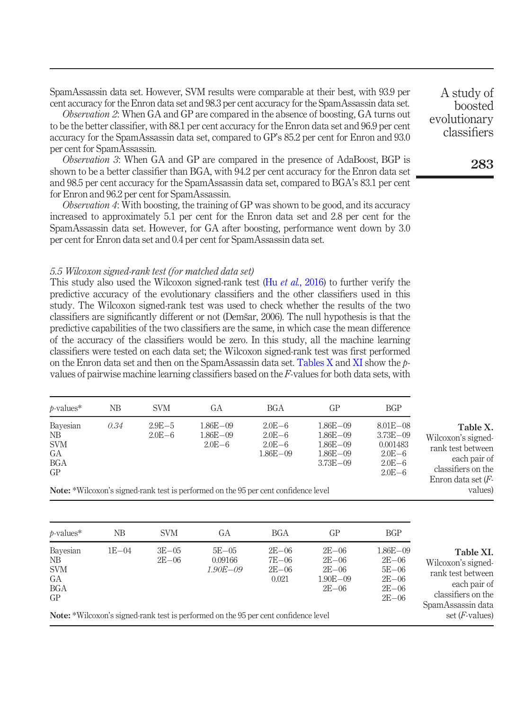SpamAssassin data set. However, SVM results were comparable at their best, with 93.9 per cent accuracy for the Enron data set and 98.3 per cent accuracy for the SpamAssassin data set.

*Observation 2*: When GA and GP are compared in the absence of boosting, GA turns out to be the better classifier, with 88.1 per cent accuracy for the Enron data set and 96.9 per cent accuracy for the SpamAssassin data set, compared to GP's 85.2 per cent for Enron and 93.0 per cent for SpamAssassin.

*Observation 3*: When GA and GP are compared in the presence of AdaBoost, BGP is shown to be a better classifier than BGA, with 94.2 per cent accuracy for the Enron data set and 98.5 per cent accuracy for the SpamAssassin data set, compared to BGA's 83.1 per cent for Enron and 96.2 per cent for SpamAssassin.

*Observation 4*: With boosting, the training of GP was shown to be good, and its accuracy increased to approximately 5.1 per cent for the Enron data set and 2.8 per cent for the SpamAssassin data set. However, for GA after boosting, performance went down by 3.0 per cent for Enron data set and 0.4 per cent for SpamAssassin data set.

#### *5.5 Wilcoxon signed-rank test (for matched data set)*

This study also used the Wilcoxon signed-rank test (Hu *et al.*, 2016) to further verify the predictive accuracy of the evolutionary classifiers and the other classifiers used in this study. The Wilcoxon signed-rank test was used to check whether the results of the two classifiers are significantly different or not (Demšar, 2006). The null hypothesis is that the predictive capabilities of the two classifiers are the same, in which case the mean difference of the accuracy of the classifiers would be zero. In this study, all the machine learning classifiers were tested on each data set; the Wilcoxon signed-rank test was first performed on the Enron data set and then on the SpamAssassin data set. Tables X and XI show the *p*values of pairwise machine learning classifiers based on the *F*-values for both data sets, with

| $b-values*$                                      | NΒ   | <b>SVM</b>               | GА                                                                                         | BGA                                                    | GP                                                                             | <b>BGP</b>                                                                         |                                                                                                                    |
|--------------------------------------------------|------|--------------------------|--------------------------------------------------------------------------------------------|--------------------------------------------------------|--------------------------------------------------------------------------------|------------------------------------------------------------------------------------|--------------------------------------------------------------------------------------------------------------------|
| Bayesian<br>NB.<br><b>SVM</b><br>GA<br>BGA<br>GP | 0.34 | $2.9E - 5$<br>$2.0E - 6$ | $1.86E - 09$<br>$1.86E - 09$<br>$2.0E - 6$                                                 | $2.0E - 6$<br>$2.0E - 6$<br>$2.0E - 6$<br>$1.86E - 09$ | $1.86E - 0.9$<br>$1.86E - 09$<br>$1.86E - 09$<br>$1.86E - 09$<br>$3.73E - 0.9$ | $8.01E - 08$<br>$3.73E - 09$<br>0.001483<br>$2.0E - 6$<br>$2.0E - 6$<br>$2.0E - 6$ | Table X.<br>Wilcoxon's signed-<br>rank test between<br>each pair of<br>classifiers on the<br>Enron data set $(F -$ |
|                                                  |      |                          | <b>Note:</b> *Wilcoxon's signed-rank test is performed on the 95 per cent confidence level |                                                        |                                                                                |                                                                                    | values)                                                                                                            |

Note: \*Wilcoxon's signed-rank test is performed on the 95 per cent confidence level

| $p$ -values*                                           | NB      | <b>SVM</b>         | GА                                                                                                                                 | BGA                                    | GP                                                               | <b>BGP</b>                                                                 |                                                                                                                                      |
|--------------------------------------------------------|---------|--------------------|------------------------------------------------------------------------------------------------------------------------------------|----------------------------------------|------------------------------------------------------------------|----------------------------------------------------------------------------|--------------------------------------------------------------------------------------------------------------------------------------|
| Bayesian<br>NB<br><b>SVM</b><br>GA<br><b>BGA</b><br>GP | $1E-04$ | $3E-05$<br>$2E-06$ | $5E - 05$<br>0.09166<br>$1.90E - 09$<br><b>Note:</b> *Wilcoxon's signed-rank test is performed on the 95 per cent confidence level | $2E - 06$<br>7E-06<br>$2E-06$<br>0.021 | $2E - 06$<br>$2E - 06$<br>$2E - 06$<br>$1.90E - 09$<br>$2E - 06$ | $1.86E - 0.9$<br>$2E - 06$<br>$5E-06$<br>$2E-06$<br>$2E - 06$<br>$2E - 06$ | Table XI.<br>Wilcoxon's signed-<br>rank test between<br>each pair of<br>classifiers on the<br>SpamAssassin data<br>set $(F$ -values) |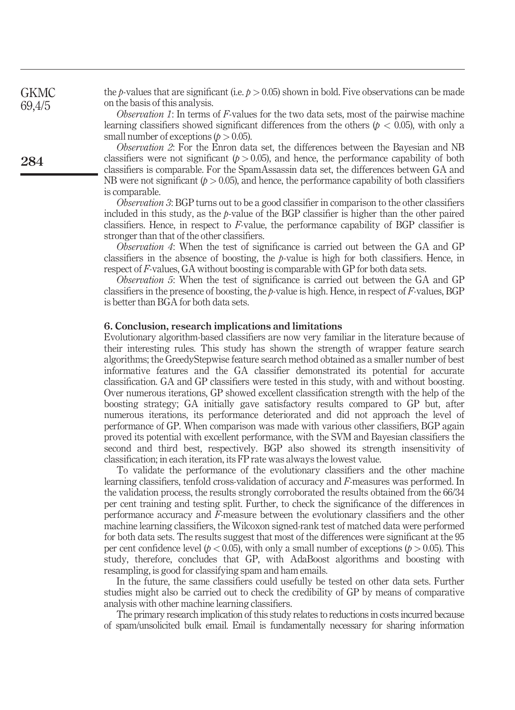the *p*-values that are significant (i.e.  $p > 0.05$ ) shown in bold. Five observations can be made on the basis of this analysis.

*Observation 1*: In terms of *F*-values for the two data sets, most of the pairwise machine learning classifiers showed significant differences from the others ( $p < 0.05$ ), with only a small number of exceptions  $(p > 0.05)$ .

*Observation 2*: For the Enron data set, the differences between the Bayesian and NB classifiers were not significant  $(p > 0.05)$ , and hence, the performance capability of both classifiers is comparable. For the SpamAssassin data set, the differences between GA and NB were not significant  $(p > 0.05)$ , and hence, the performance capability of both classifiers is comparable.

*Observation 3*: BGP turns out to be a good classifier in comparison to the other classifiers included in this study, as the *p*-value of the BGP classifier is higher than the other paired classifiers. Hence, in respect to *F*-value, the performance capability of BGP classifier is stronger than that of the other classifiers.

*Observation 4*: When the test of significance is carried out between the GA and GP classifiers in the absence of boosting, the *p*-value is high for both classifiers. Hence, in respect of *F*-values, GA without boosting is comparable with GP for both data sets.

*Observation 5*: When the test of significance is carried out between the GA and GP classifiers in the presence of boosting, the *p*-value is high. Hence, in respect of *F*-values, BGP is better than BGA for both data sets.

#### 6. Conclusion, research implications and limitations

Evolutionary algorithm-based classifiers are now very familiar in the literature because of their interesting rules. This study has shown the strength of wrapper feature search algorithms; the GreedyStepwise feature search method obtained as a smaller number of best informative features and the GA classifier demonstrated its potential for accurate classification. GA and GP classifiers were tested in this study, with and without boosting. Over numerous iterations, GP showed excellent classification strength with the help of the boosting strategy; GA initially gave satisfactory results compared to GP but, after numerous iterations, its performance deteriorated and did not approach the level of performance of GP. When comparison was made with various other classifiers, BGP again proved its potential with excellent performance, with the SVM and Bayesian classifiers the second and third best, respectively. BGP also showed its strength insensitivity of classification; in each iteration, its FP rate was always the lowest value.

To validate the performance of the evolutionary classifiers and the other machine learning classifiers, tenfold cross-validation of accuracy and *F*-measures was performed. In the validation process, the results strongly corroborated the results obtained from the 66/34 per cent training and testing split. Further, to check the significance of the differences in performance accuracy and *F*-measure between the evolutionary classifiers and the other machine learning classifiers, the Wilcoxon signed-rank test of matched data were performed for both data sets. The results suggest that most of the differences were significant at the 95 per cent confidence level ( $p < 0.05$ ), with only a small number of exceptions ( $p > 0.05$ ). This study, therefore, concludes that GP, with AdaBoost algorithms and boosting with resampling, is good for classifying spam and ham emails.

In the future, the same classifiers could usefully be tested on other data sets. Further studies might also be carried out to check the credibility of GP by means of comparative analysis with other machine learning classifiers.

The primary research implication of this study relates to reductions in costs incurred because of spam/unsolicited bulk email. Email is fundamentally necessary for sharing information

284

**GKMC** 69,4/5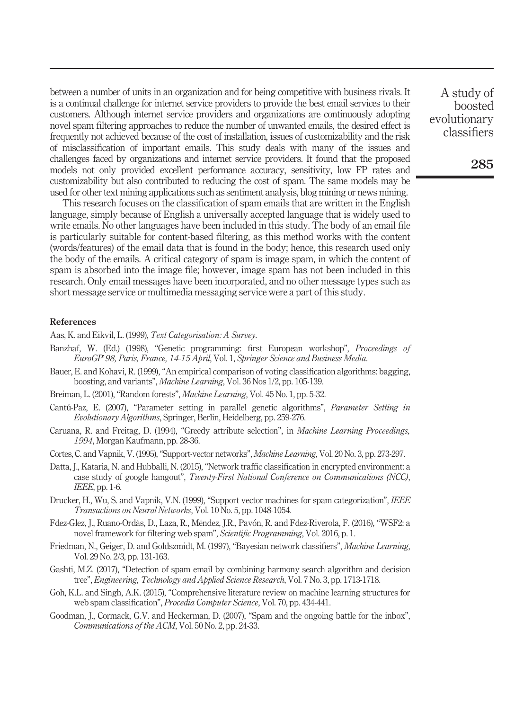between a number of units in an organization and for being competitive with business rivals. It is a continual challenge for internet service providers to provide the best email services to their customers. Although internet service providers and organizations are continuously adopting novel spam filtering approaches to reduce the number of unwanted emails, the desired effect is frequently not achieved because of the cost of installation, issues of customizability and the risk of misclassification of important emails. This study deals with many of the issues and challenges faced by organizations and internet service providers. It found that the proposed models not only provided excellent performance accuracy, sensitivity, low FP rates and customizability but also contributed to reducing the cost of spam. The same models may be used for other text mining applications such as sentiment analysis, blog mining or news mining.

This research focuses on the classification of spam emails that are written in the English language, simply because of English a universally accepted language that is widely used to write emails. No other languages have been included in this study. The body of an email file is particularly suitable for content-based filtering, as this method works with the content (words/features) of the email data that is found in the body; hence, this research used only the body of the emails. A critical category of spam is image spam, in which the content of spam is absorbed into the image file; however, image spam has not been included in this research. Only email messages have been incorporated, and no other message types such as short message service or multimedia messaging service were a part of this study.

#### References

- Aas, K. and Eikvil, L. (1999), *Text Categorisation: A Survey*.
- Banzhaf, W. (Ed.) (1998), "Genetic programming: first European workshop", *Proceedings of EuroGP*'*98, Paris, France, 14-15 April*, Vol. 1, *Springer Science and Business Media*.
- Bauer, E. and Kohavi, R. (1999), "An empirical comparison of voting classification algorithms: bagging, boosting, and variants", *Machine Learning*, Vol. 36 Nos 1/2, pp. 105-139.
- Breiman, L. (2001),"Random forests", *Machine Learning*, Vol. 45 No. 1, pp. 5-32.
- Cantú-Paz, E. (2007), "Parameter setting in parallel genetic algorithms", *Parameter Setting in Evolutionary Algorithms*, Springer, Berlin, Heidelberg, pp. 259-276.
- Caruana, R. and Freitag, D. (1994), "Greedy attribute selection", in *Machine Learning Proceedings, 1994*, Morgan Kaufmann, pp. 28-36.
- Cortes, C. and Vapnik, V. (1995),"Support-vector networks", *Machine Learning*, Vol. 20 No. 3, pp. 273-297.
- Datta, J., Kataria, N. and Hubballi, N. (2015), "Network traffic classification in encrypted environment: a case study of google hangout", *Twenty-First National Conference on Communications (NCC)*, *IEEE*, pp. 1-6.
- Drucker, H., Wu, S. and Vapnik, V.N. (1999), "Support vector machines for spam categorization", *IEEE Transactions on Neural Networks*, Vol. 10 No. 5, pp. 1048-1054.
- Fdez-Glez, J., Ruano-Ordás, D., Laza, R., Méndez, J.R., Pavón, R. and Fdez-Riverola, F. (2016), "WSF2: a novel framework for filtering web spam", *Scienti*fi*c Programming*, Vol. 2016, p. 1.
- Friedman, N., Geiger, D. and Goldszmidt, M. (1997), "Bayesian network classifiers", *Machine Learning*, Vol. 29 No. 2/3, pp. 131-163.
- Gashti, M.Z. (2017), "Detection of spam email by combining harmony search algorithm and decision tree", *Engineering, Technology and Applied Science Research*, Vol. 7 No. 3, pp. 1713-1718.
- Goh, K.L. and Singh, A.K. (2015), "Comprehensive literature review on machine learning structures for web spam classification", *Procedia Computer Science*, Vol. 70, pp. 434-441.
- Goodman, J., Cormack, G.V. and Heckerman, D. (2007), "Spam and the ongoing battle for the inbox", *Communications of the ACM*, Vol. 50 No. 2, pp. 24-33.

A study of boosted evolutionary classifiers

285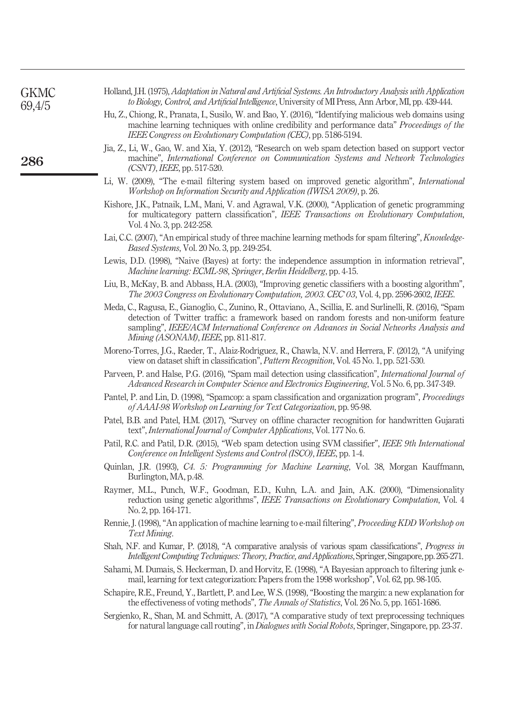| GKMC<br>69,4/5 | Holland, J.H. (1975), Adaptation in Natural and Artificial Systems. An Introductory Analysis with Application<br>to Biology, Control, and Artificial Intelligence, University of MI Press, Ann Arbor, MI, pp. 439-444.                                                             |
|----------------|------------------------------------------------------------------------------------------------------------------------------------------------------------------------------------------------------------------------------------------------------------------------------------|
|                | Hu, Z., Chiong, R., Pranata, I., Susilo, W. and Bao, Y. (2016), "Identifying malicious web domains using<br>machine learning techniques with online credibility and performance data" <i>Proceedings of the</i><br>IEEE Congress on Evolutionary Computation (CEC), pp. 5186-5194. |
| 286            | Jia, Z., Li, W., Gao, W. and Xia, Y. (2012), "Research on web spam detection based on support vector<br>machine", International Conference on Communication Systems and Network Technologies<br>$(CSNT)$ , IEEE, pp. 517-520.                                                      |
|                | Li, W. (2009), "The e-mail filtering system based on improved genetic algorithm", International<br>Workshop on Information Security and Application (IWISA 2009), p. 26.                                                                                                           |
|                | Kishore, J.K., Patnaik, L.M., Mani, V. and Agrawal, V.K. (2000), "Application of genetic programming                                                                                                                                                                               |

- for multicategory pattern classification", *IEEE Transactions on Evolutionary Computation*, Vol. 4 No. 3, pp. 242-258.
- Lai, C.C. (2007), "An empirical study of three machine learning methods for spam filtering", *Knowledge-Based Systems*, Vol. 20 No. 3, pp. 249-254.
- Lewis, D.D. (1998), "Naive (Bayes) at forty: the independence assumption in information retrieval", *Machine learning: ECML-98*, *Springer*, *Berlin Heidelberg*, pp. 4-15.
- Liu, B., McKay, B. and Abbass, H.A. (2003), "Improving genetic classifiers with a boosting algorithm", *The 2003 Congress on Evolutionary Computation, 2003. CEC*'*03*, Vol. 4, pp. 2596-2602, *IEEE*.
- Meda, C., Ragusa, E., Gianoglio, C., Zunino, R., Ottaviano, A., Scillia, E. and Surlinelli, R. (2016), "Spam detection of Twitter traffic: a framework based on random forests and non-uniform feature sampling", *IEEE/ACM International Conference on Advances in Social Networks Analysis and Mining (ASONAM)*, *IEEE*, pp. 811-817.
- Moreno-Torres, J.G., Raeder, T., Alaiz-Rodríguez, R., Chawla, N.V. and Herrera, F. (2012), "A unifying view on dataset shift in classification", *Pattern Recognition*, Vol. 45 No. 1, pp. 521-530.
- Parveen, P. and Halse, P.G. (2016), "Spam mail detection using classification", *International Journal of Advanced Research in Computer Science and Electronics Engineering*, Vol. 5 No. 6, pp. 347-349.
- Pantel, P. and Lin, D. (1998), "Spamcop: a spam classification and organization program", *Proceedings of AAAI-98 Workshop on Learning for Text Categorization*, pp. 95-98.
- Patel, B.B. and Patel, H.M. (2017), "Survey on offline character recognition for handwritten Gujarati text", *International Journal of Computer Applications*, Vol. 177 No. 6.
- Patil, R.C. and Patil, D.R. (2015), "Web spam detection using SVM classifier", *IEEE 9th International Conference on Intelligent Systems and Control (ISCO)*, *IEEE*, pp. 1-4.
- Quinlan, J.R. (1993), *C4. 5: Programming for Machine Learning*, Vol. 38, Morgan Kauffmann, Burlington, MA, p.48.
- Raymer, M.L., Punch, W.F., Goodman, E.D., Kuhn, L.A. and Jain, A.K. (2000), "Dimensionality reduction using genetic algorithms", *IEEE Transactions on Evolutionary Computation*, Vol. 4 No. 2, pp. 164-171.
- Rennie, J. (1998),"An application of machine learning to e-mail filtering", *Proceeding KDD Workshop on Text Mining*.
- Shah, N.F. and Kumar, P. (2018), "A comparative analysis of various spam classifications", *Progress in IntelligentComputingTechniques:Theory, Practice,and Applications*, Springer, Singapore, pp. 265-271.
- Sahami, M. Dumais, S. Heckerman, D. and Horvitz, E. (1998), "A Bayesian approach to filtering junk email, learning for text categorization: Papers from the 1998 workshop", Vol. 62, pp. 98-105.
- Schapire, R.E., Freund, Y., Bartlett, P. and Lee, W.S. (1998), "Boosting the margin: a new explanation for the effectiveness of voting methods", *The Annals of Statistics*, Vol. 26 No. 5, pp. 1651-1686.
- Sergienko, R., Shan, M. and Schmitt, A. (2017), "A comparative study of text preprocessing techniques for natural language call routing", in *Dialogues with Social Robots*, Springer, Singapore, pp. 23-37.